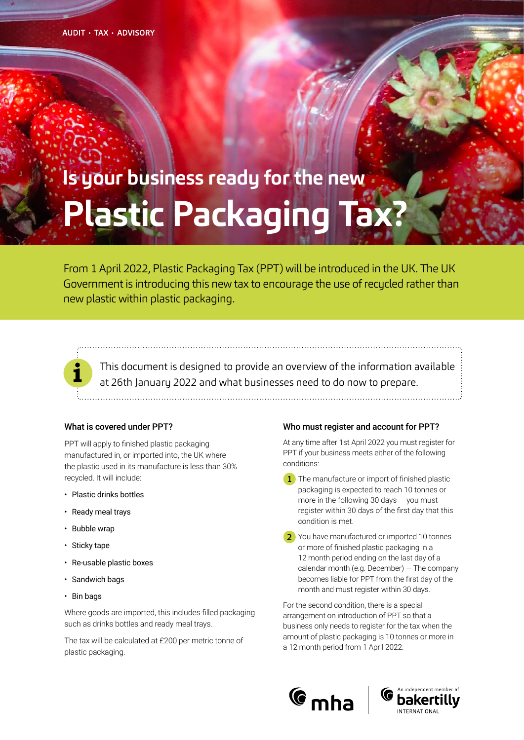# **Is your business ready for the new Plastic Packaging Tax?**

From 1 April 2022, Plastic Packaging Tax (PPT) will be introduced in the UK. The UK Government is introducing this new tax to encourage the use of recucled rather than new plastic within plastic packaging.

This document is designed to provide an overview of the information available at 26th January 2022 and what businesses need to do now to prepare.

#### What is covered under PPT?

PPT will apply to finished plastic packaging manufactured in, or imported into, the UK where the plastic used in its manufacture is less than 30% recycled. It will include:

- Plastic drinks bottles
- Ready meal trays
- Bubble wrap
- Sticky tape
- Re-usable plastic boxes
- Sandwich bags
- Bin bags

Where goods are imported, this includes filled packaging such as drinks bottles and ready meal trays.

The tax will be calculated at £200 per metric tonne of plastic packaging.

#### Who must register and account for PPT?

At any time after 1st April 2022 you must register for PPT if your business meets either of the following conditions:

1 The manufacture or import of finished plastic packaging is expected to reach 10 tonnes or more in the following 30 days  $-$  you must register within 30 days of the first day that this condition is met.

2 You have manufactured or imported 10 tonnes or more of finished plastic packaging in a 12 month period ending on the last day of a calendar month (e.g. December) — The company becomes liable for PPT from the first day of the month and must register within 30 days.

For the second condition, there is a special arrangement on introduction of PPT so that a business only needs to register for the tax when the amount of plastic packaging is 10 tonnes or more in a 12 month period from 1 April 2022.



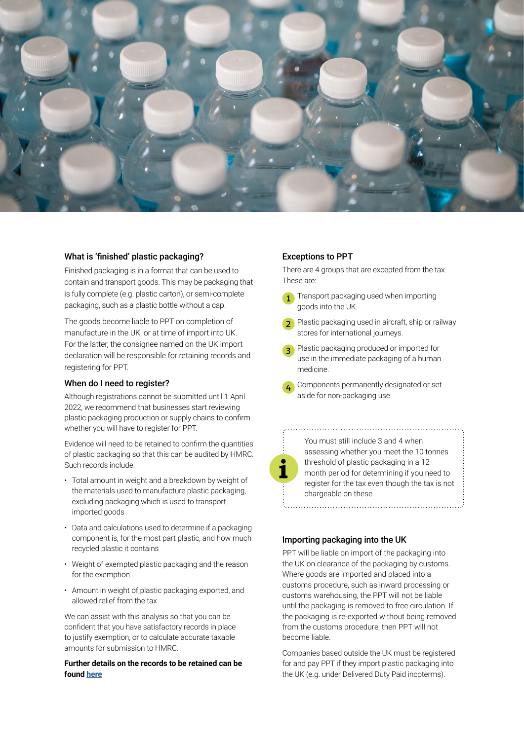

#### What is 'finished' plastic packaging?

Finished packaging is in a format that can be used to contain and transport goods. This may be packaging that is fully complete (e.g. plastic carton), or semi-complete packaging, such as a plastic bottle without a cap.

The goods become liable to PPT on completion of manufacture in the UK, or at time of import into UK. For the latter, the consignee named on the UK import declaration will be responsible for retaining records and registering for PPT.

#### When do I need to register?

Although registrations cannot be submitted until 1 April 2022, we recommend that businesses start reviewing plastic packaging production or supply chains to confirm whether you will have to register for PPT.

Evidence will need to be retained to confirm the quantities of plastic packaging so that this can be audited by HMRC. Such records include:

- Total amount in weight and a breakdown by weight of the materials used to manufacture plastic packaging, excluding packaging which is used to transport imported goods
- Data and calculations used to determine if a packaging component is, for the most part plastic, and how much recycled plastic it contains
- Weight of exempted plastic packaging and the reason for the exemption
- Amount in weight of plastic packaging exported, and allowed relief from the tax

We can assist with this analysis so that you can be confident that you have satisfactory records in place to justify exemption, or to calculate accurate taxable amounts for submission to HMRC.

#### **Further details on the records to be retained can be found [here](https://www.gov.uk/government/publications/get-your-business-ready-for-the-plastic-packaging-tax/further-information-for-businesses#record-keeping)**

# Exceptions to PPT

There are 4 groups that are excepted from the tax. These are:

- Transport packaging used when importing goods into the UK. 1
- 2 Plastic packaging used in aircraft, ship or railway stores for international journeys.
- **3** Plastic packaging produced or imported for use in the immediate packaging of a human medicine.
- Components permanently designated or set aside for non-packaging use. 4

| $\ddot{ }$ : $\ddot{ }$ : $\ddot{ }$ : $\ddot{ }$ : $\ddot{ }$ : $\ddot{ }$ : $\ddot{ }$ : $\ddot{ }$ : $\ddot{ }$ : $\ddot{ }$ : $\ddot{ }$ : $\ddot{ }$ : $\ddot{ }$ : $\ddot{ }$ : $\ddot{ }$ : $\ddot{ }$ : $\ddot{ }$ : $\ddot{ }$ : $\ddot{ }$ : $\ddot{ }$ : $\ddot{ }$ : $\ddot{ }$ : |  |
|-----------------------------------------------------------------------------------------------------------------------------------------------------------------------------------------------------------------------------------------------------------------------------------------------|--|
|                                                                                                                                                                                                                                                                                               |  |
| :<br>:                                                                                                                                                                                                                                                                                        |  |

You must still include 3 and 4 when assessing whether you meet the 10 tonnes threshold of plastic packaging in a 12 month period for determining if you need to register for the tax even though the tax is not chargeable on these.

# Importing packaging into the UK

PPT will be liable on import of the packaging into the UK on clearance of the packaging by customs. Where goods are imported and placed into a customs procedure, such as inward processing or customs warehousing, the PPT will not be liable until the packaging is removed to free circulation. If the packaging is re-exported without being removed from the customs procedure, then PPT will not become liable.

Companies based outside the UK must be registered for and pay PPT if they import plastic packaging into the UK (e.g. under Delivered Duty Paid incoterms).